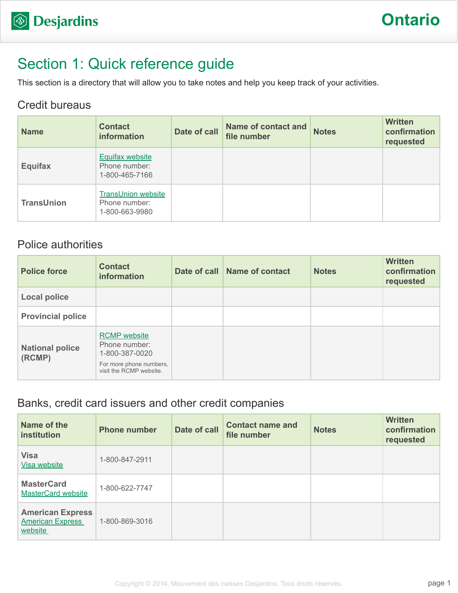# Section 1: Quick reference guide

This section is a directory that will allow you to take notes and help you keep track of your activities.

### Credit bureaus

| <b>Name</b>       | <b>Contact</b><br>information                                | Date of call | <b>Name of contact and</b><br>file number | <b>Notes</b> | <b>Written</b><br>confirmation<br>requested |
|-------------------|--------------------------------------------------------------|--------------|-------------------------------------------|--------------|---------------------------------------------|
| <b>Equifax</b>    | <b>Equifax website</b><br>Phone number:<br>1-800-465-7166    |              |                                           |              |                                             |
| <b>TransUnion</b> | <b>TransUnion website</b><br>Phone number:<br>1-800-663-9980 |              |                                           |              |                                             |

### Police authorities

| <b>Police force</b>              | <b>Contact</b><br>information                                                                                | Date of call Name of contact | <b>Notes</b> | <b>Written</b><br>confirmation<br>requested |
|----------------------------------|--------------------------------------------------------------------------------------------------------------|------------------------------|--------------|---------------------------------------------|
| <b>Local police</b>              |                                                                                                              |                              |              |                                             |
| <b>Provincial police</b>         |                                                                                                              |                              |              |                                             |
| <b>National police</b><br>(RCMP) | <b>RCMP</b> website<br>Phone number:<br>1-800-387-0020<br>For more phone numbers,<br>visit the RCMP website. |                              |              |                                             |

### Banks, credit card issuers and other credit companies

| Name of the<br>institution                                    | <b>Phone number</b> | Date of call | <b>Contact name and</b><br>file number | <b>Notes</b> | <b>Written</b><br>confirmation<br>requested |
|---------------------------------------------------------------|---------------------|--------------|----------------------------------------|--------------|---------------------------------------------|
| <b>Visa</b><br>Visa website                                   | 1-800-847-2911      |              |                                        |              |                                             |
| <b>MasterCard</b><br><b>MasterCard website</b>                | 1-800-622-7747      |              |                                        |              |                                             |
| <b>American Express</b><br><b>American Express</b><br>website | 1-800-869-3016      |              |                                        |              |                                             |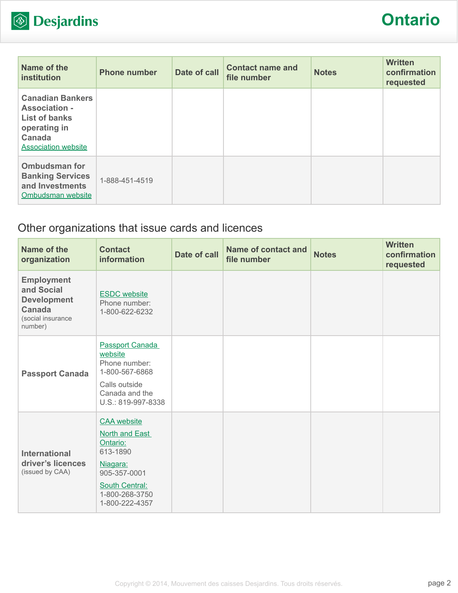

| Name of the<br><b>institution</b>                                                                                               | <b>Phone number</b> | Date of call | <b>Contact name and</b><br>file number | <b>Notes</b> | <b>Written</b><br>confirmation<br>requested |
|---------------------------------------------------------------------------------------------------------------------------------|---------------------|--------------|----------------------------------------|--------------|---------------------------------------------|
| <b>Canadian Bankers</b><br><b>Association -</b><br><b>List of banks</b><br>operating in<br>Canada<br><b>Association website</b> |                     |              |                                        |              |                                             |
| <b>Ombudsman for</b><br><b>Banking Services</b><br>and Investments<br>Ombudsman website                                         | 1-888-451-4519      |              |                                        |              |                                             |

### Other organizations that issue cards and licences

| Name of the<br>organization                                                                     | <b>Contact</b><br>information                                                                                                                         | Date of call | <b>Name of contact and</b><br>file number | <b>Notes</b> | <b>Written</b><br>confirmation<br>requested |
|-------------------------------------------------------------------------------------------------|-------------------------------------------------------------------------------------------------------------------------------------------------------|--------------|-------------------------------------------|--------------|---------------------------------------------|
| <b>Employment</b><br>and Social<br><b>Development</b><br>Canada<br>(social insurance<br>number) | <b>ESDC</b> website<br>Phone number:<br>1-800-622-6232                                                                                                |              |                                           |              |                                             |
| <b>Passport Canada</b>                                                                          | <b>Passport Canada</b><br>website<br>Phone number:<br>1-800-567-6868<br>Calls outside<br>Canada and the<br>U.S.: 819-997-8338                         |              |                                           |              |                                             |
| <b>International</b><br>driver's licences<br>(issued by CAA)                                    | <b>CAA</b> website<br>North and East<br>Ontario:<br>613-1890<br>Niagara:<br>905-357-0001<br><b>South Central:</b><br>1-800-268-3750<br>1-800-222-4357 |              |                                           |              |                                             |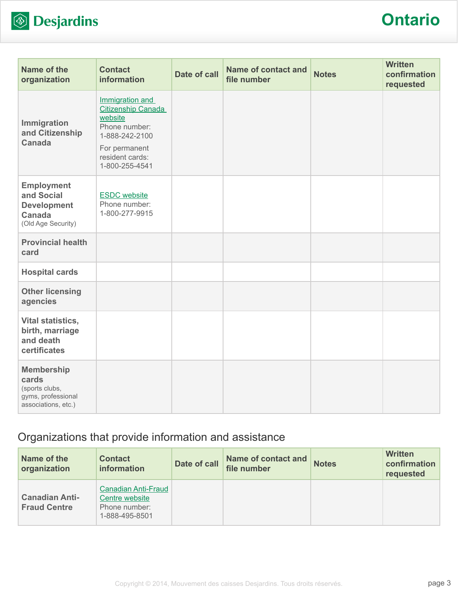

# **Ontario**

| Name of the<br>organization                                                                  | <b>Contact</b><br>information                                                                                                                    | <b>Date of call</b> | <b>Name of contact and</b><br>file number | <b>Notes</b> | <b>Written</b><br>confirmation<br>requested |
|----------------------------------------------------------------------------------------------|--------------------------------------------------------------------------------------------------------------------------------------------------|---------------------|-------------------------------------------|--------------|---------------------------------------------|
| Immigration<br>and Citizenship<br><b>Canada</b>                                              | Immigration and<br><b>Citizenship Canada</b><br>website<br>Phone number:<br>1-888-242-2100<br>For permanent<br>resident cards:<br>1-800-255-4541 |                     |                                           |              |                                             |
| <b>Employment</b><br>and Social<br><b>Development</b><br><b>Canada</b><br>(Old Age Security) | <b>ESDC</b> website<br>Phone number:<br>1-800-277-9915                                                                                           |                     |                                           |              |                                             |
| <b>Provincial health</b><br>card                                                             |                                                                                                                                                  |                     |                                           |              |                                             |
| <b>Hospital cards</b>                                                                        |                                                                                                                                                  |                     |                                           |              |                                             |
| <b>Other licensing</b><br>agencies                                                           |                                                                                                                                                  |                     |                                           |              |                                             |
| <b>Vital statistics,</b><br>birth, marriage<br>and death<br>certificates                     |                                                                                                                                                  |                     |                                           |              |                                             |
| <b>Membership</b><br>cards<br>(sports clubs,<br>gyms, professional<br>associations, etc.)    |                                                                                                                                                  |                     |                                           |              |                                             |

## Organizations that provide information and assistance

| Name of the<br>organization                  | <b>Contact</b><br><b>information</b>                                     | Date of call | Name of contact and<br>file number | <b>Notes</b> | <b>Written</b><br>confirmation<br>requested |
|----------------------------------------------|--------------------------------------------------------------------------|--------------|------------------------------------|--------------|---------------------------------------------|
| <b>Canadian Anti-</b><br><b>Fraud Centre</b> | Canadian Anti-Fraud<br>Centre website<br>Phone number:<br>1-888-495-8501 |              |                                    |              |                                             |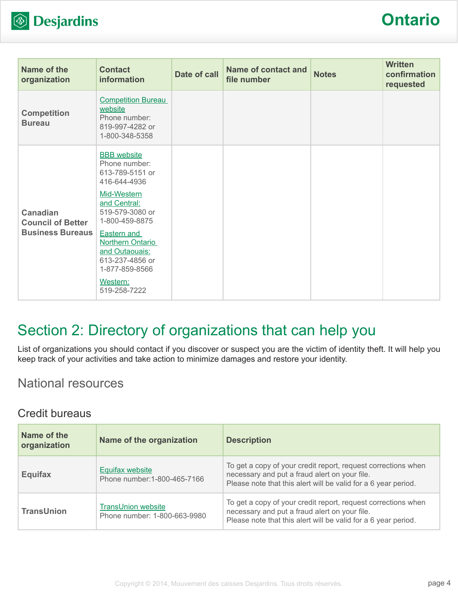

| Name of the<br>organization                                            | <b>Contact</b><br><b>information</b>                                                                                                                                                                                                               | Date of call | Name of contact and<br>file number | <b>Notes</b> | <b>Written</b><br>confirmation<br>requested |
|------------------------------------------------------------------------|----------------------------------------------------------------------------------------------------------------------------------------------------------------------------------------------------------------------------------------------------|--------------|------------------------------------|--------------|---------------------------------------------|
| <b>Competition</b><br><b>Bureau</b>                                    | <b>Competition Bureau</b><br>website<br>Phone number:<br>819-997-4282 or<br>1-800-348-5358                                                                                                                                                         |              |                                    |              |                                             |
| <b>Canadian</b><br><b>Council of Better</b><br><b>Business Bureaus</b> | <b>BBB</b> website<br>Phone number:<br>613-789-5151 or<br>416-644-4936<br>Mid-Western<br>and Central:<br>519-579-3080 or<br>1-800-459-8875<br><b>Eastern and</b><br><b>Northern Ontario</b><br>and Outaouais:<br>613-237-4856 or<br>1-877-859-8566 |              |                                    |              |                                             |
|                                                                        | Western:<br>519-258-7222                                                                                                                                                                                                                           |              |                                    |              |                                             |

# Section 2: Directory of organizations that can help you

List of organizations you should contact if you discover or suspect you are the victim of identity theft. It will help you keep track of your activities and take action to minimize damages and restore your identity.

### National resources

#### Credit bureaus

| Name of the<br>organization | Name of the organization                                  | <b>Description</b>                                                                                                                                                               |
|-----------------------------|-----------------------------------------------------------|----------------------------------------------------------------------------------------------------------------------------------------------------------------------------------|
| <b>Equifax</b>              | <b>Equifax website</b><br>Phone number: 1-800-465-7166    | To get a copy of your credit report, request corrections when<br>necessary and put a fraud alert on your file.<br>Please note that this alert will be valid for a 6 year period. |
| <b>TransUnion</b>           | <b>TransUnion website</b><br>Phone number: 1-800-663-9980 | To get a copy of your credit report, request corrections when<br>necessary and put a fraud alert on your file.<br>Please note that this alert will be valid for a 6 year period. |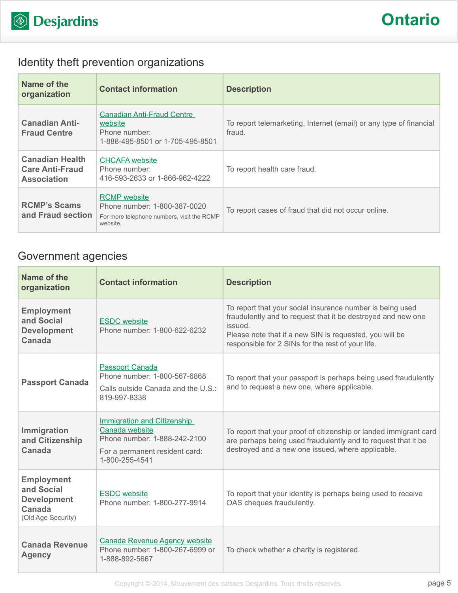

## Identity theft prevention organizations

| Name of the<br>organization                                            | <b>Contact information</b>                                                                                    | <b>Description</b>                                                           |
|------------------------------------------------------------------------|---------------------------------------------------------------------------------------------------------------|------------------------------------------------------------------------------|
| <b>Canadian Anti-</b><br><b>Fraud Centre</b>                           | <b>Canadian Anti-Fraud Centre</b><br>website<br>Phone number:<br>1-888-495-8501 or 1-705-495-8501             | To report telemarketing, Internet (email) or any type of financial<br>fraud. |
| <b>Canadian Health</b><br><b>Care Anti-Fraud</b><br><b>Association</b> | <b>CHCAFA</b> website<br>Phone number:<br>416-593-2633 or 1-866-962-4222                                      | To report health care fraud.                                                 |
| <b>RCMP's Scams</b><br>and Fraud section                               | <b>RCMP</b> website<br>Phone number: 1-800-387-0020<br>For more telephone numbers, visit the RCMP<br>website. | To report cases of fraud that did not occur online.                          |

### Government agencies

| Name of the<br>organization                                                           | <b>Contact information</b>                                                                                                        | <b>Description</b>                                                                                                                                                                                                                                   |
|---------------------------------------------------------------------------------------|-----------------------------------------------------------------------------------------------------------------------------------|------------------------------------------------------------------------------------------------------------------------------------------------------------------------------------------------------------------------------------------------------|
| <b>Employment</b><br>and Social<br><b>Development</b><br>Canada                       | <b>ESDC</b> website<br>Phone number: 1-800-622-6232                                                                               | To report that your social insurance number is being used<br>fraudulently and to request that it be destroyed and new one<br>issued.<br>Please note that if a new SIN is requested, you will be<br>responsible for 2 SINs for the rest of your life. |
| <b>Passport Canada</b>                                                                | <b>Passport Canada</b><br>Phone number: 1-800-567-6868<br>Calls outside Canada and the U.S.:<br>819-997-8338                      | To report that your passport is perhaps being used fraudulently<br>and to request a new one, where applicable.                                                                                                                                       |
| Immigration<br>and Citizenship<br>Canada                                              | Immigration and Citizenship<br>Canada website<br>Phone number: 1-888-242-2100<br>For a permanent resident card:<br>1-800-255-4541 | To report that your proof of citizenship or landed immigrant card<br>are perhaps being used fraudulently and to request that it be<br>destroyed and a new one issued, where applicable.                                                              |
| <b>Employment</b><br>and Social<br><b>Development</b><br>Canada<br>(Old Age Security) | <b>ESDC</b> website<br>Phone number: 1-800-277-9914                                                                               | To report that your identity is perhaps being used to receive<br>OAS cheques fraudulently.                                                                                                                                                           |
| <b>Canada Revenue</b><br><b>Agency</b>                                                | <b>Canada Revenue Agency website</b><br>Phone number: 1-800-267-6999 or<br>1-888-892-5667                                         | To check whether a charity is registered.                                                                                                                                                                                                            |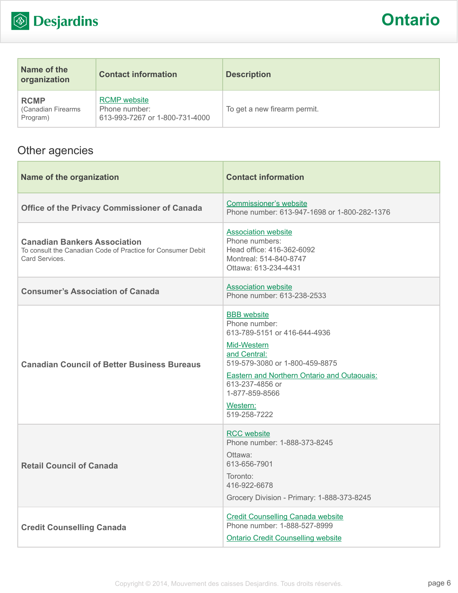

| Name of the<br>organization                    | <b>Contact information</b>                                             | <b>Description</b>           |
|------------------------------------------------|------------------------------------------------------------------------|------------------------------|
| <b>RCMP</b><br>(Canadian Firearms)<br>Program) | <b>RCMP</b> website<br>Phone number:<br>613-993-7267 or 1-800-731-4000 | To get a new firearm permit. |

## Other agencies

| Name of the organization                                                                                            | <b>Contact information</b>                                                                                                                                                                                                                                  |
|---------------------------------------------------------------------------------------------------------------------|-------------------------------------------------------------------------------------------------------------------------------------------------------------------------------------------------------------------------------------------------------------|
| <b>Office of the Privacy Commissioner of Canada</b>                                                                 | <b>Commissioner's website</b><br>Phone number: 613-947-1698 or 1-800-282-1376                                                                                                                                                                               |
| <b>Canadian Bankers Association</b><br>To consult the Canadian Code of Practice for Consumer Debit<br>Card Services | <b>Association website</b><br>Phone numbers:<br>Head office: 416-362-6092<br>Montreal: 514-840-8747<br>Ottawa: 613-234-4431                                                                                                                                 |
| <b>Consumer's Association of Canada</b>                                                                             | <b>Association website</b><br>Phone number: 613-238-2533                                                                                                                                                                                                    |
| <b>Canadian Council of Better Business Bureaus</b>                                                                  | <b>BBB</b> website<br>Phone number:<br>613-789-5151 or 416-644-4936<br>Mid-Western<br>and Central:<br>519-579-3080 or 1-800-459-8875<br><b>Eastern and Northern Ontario and Outaouais:</b><br>613-237-4856 or<br>1-877-859-8566<br>Western:<br>519-258-7222 |
| <b>Retail Council of Canada</b>                                                                                     | <b>RCC</b> website<br>Phone number: 1-888-373-8245<br>Ottawa:<br>613-656-7901<br>Toronto:<br>416-922-6678<br>Grocery Division - Primary: 1-888-373-8245                                                                                                     |
| <b>Credit Counselling Canada</b>                                                                                    | <b>Credit Counselling Canada website</b><br>Phone number: 1-888-527-8999<br><b>Ontario Credit Counselling website</b>                                                                                                                                       |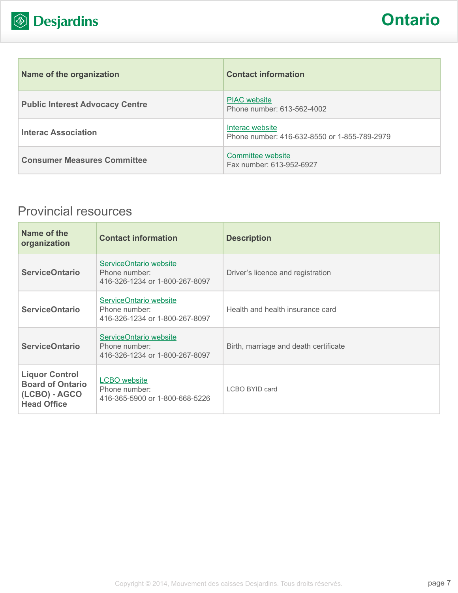

| Name of the organization               | <b>Contact information</b>                                      |
|----------------------------------------|-----------------------------------------------------------------|
| <b>Public Interest Advocacy Centre</b> | <b>PIAC</b> website<br>Phone number: 613-562-4002               |
| <b>Interac Association</b>             | Interac website<br>Phone number: 416-632-8550 or 1-855-789-2979 |
| <b>Consumer Measures Committee</b>     | Committee website<br>Fax number: 613-952-6927                   |

## Provincial resources

| Name of the<br>organization                                                             | <b>Contact information</b>                                                | <b>Description</b>                    |
|-----------------------------------------------------------------------------------------|---------------------------------------------------------------------------|---------------------------------------|
| <b>ServiceOntario</b>                                                                   | ServiceOntario website<br>Phone number:<br>416-326-1234 or 1-800-267-8097 | Driver's licence and registration     |
| <b>ServiceOntario</b>                                                                   | ServiceOntario website<br>Phone number:<br>416-326-1234 or 1-800-267-8097 | Health and health insurance card      |
| <b>ServiceOntario</b>                                                                   | ServiceOntario website<br>Phone number:<br>416-326-1234 or 1-800-267-8097 | Birth, marriage and death certificate |
| <b>Liquor Control</b><br><b>Board of Ontario</b><br>(LCBO) - AGCO<br><b>Head Office</b> | <b>LCBO</b> website<br>Phone number:<br>416-365-5900 or 1-800-668-5226    | LCBO BYID card                        |